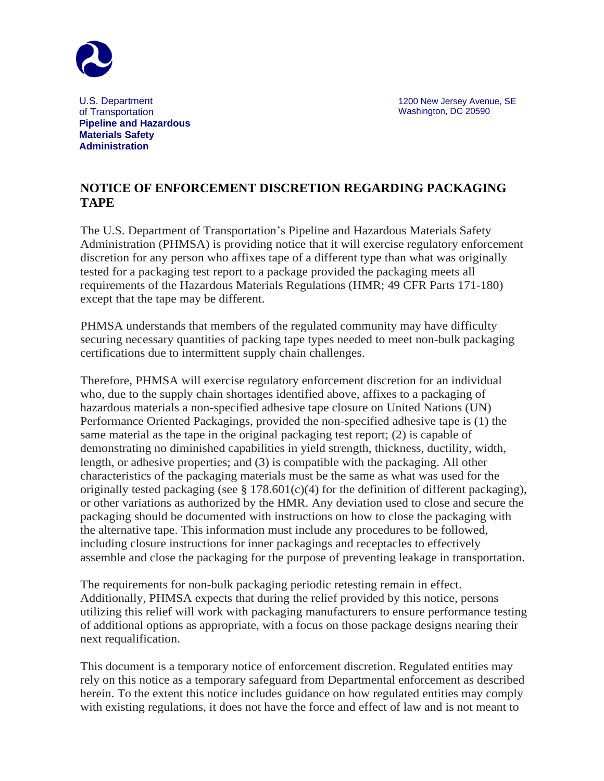

 1200 New Jersey Avenue, SE Washington, DC 20590

 U.S. Department of Transportation  **Pipeline and Hazardous Materials Safety Administration**

## **NOTICE OF ENFORCEMENT DISCRETION REGARDING PACKAGING TAPE**

The U.S. Department of Transportation's Pipeline and Hazardous Materials Safety Administration (PHMSA) is providing notice that it will exercise regulatory enforcement discretion for any person who affixes tape of a different type than what was originally tested for a packaging test report to a package provided the packaging meets all requirements of the Hazardous Materials Regulations (HMR; 49 CFR Parts 171-180) except that the tape may be different.

PHMSA understands that members of the regulated community may have difficulty securing necessary quantities of packing tape types needed to meet non-bulk packaging certifications due to intermittent supply chain challenges.

Therefore, PHMSA will exercise regulatory enforcement discretion for an individual who, due to the supply chain shortages identified above, affixes to a packaging of hazardous materials a non-specified adhesive tape closure on United Nations (UN) Performance Oriented Packagings, provided the non-specified adhesive tape is (1) the same material as the tape in the original packaging test report; (2) is capable of demonstrating no diminished capabilities in yield strength, thickness, ductility, width, length, or adhesive properties; and (3) is compatible with the packaging. All other characteristics of the packaging materials must be the same as what was used for the originally tested packaging (see  $\S 178.601(c)(4)$  for the definition of different packaging), or other variations as authorized by the HMR. Any deviation used to close and secure the packaging should be documented with instructions on how to close the packaging with the alternative tape. This information must include any procedures to be followed, including closure instructions for inner packagings and receptacles to effectively assemble and close the packaging for the purpose of preventing leakage in transportation.

The requirements for non-bulk packaging periodic retesting remain in effect. Additionally, PHMSA expects that during the relief provided by this notice, persons utilizing this relief will work with packaging manufacturers to ensure performance testing of additional options as appropriate, with a focus on those package designs nearing their next requalification.

This document is a temporary notice of enforcement discretion. Regulated entities may rely on this notice as a temporary safeguard from Departmental enforcement as described herein. To the extent this notice includes guidance on how regulated entities may comply with existing regulations, it does not have the force and effect of law and is not meant to